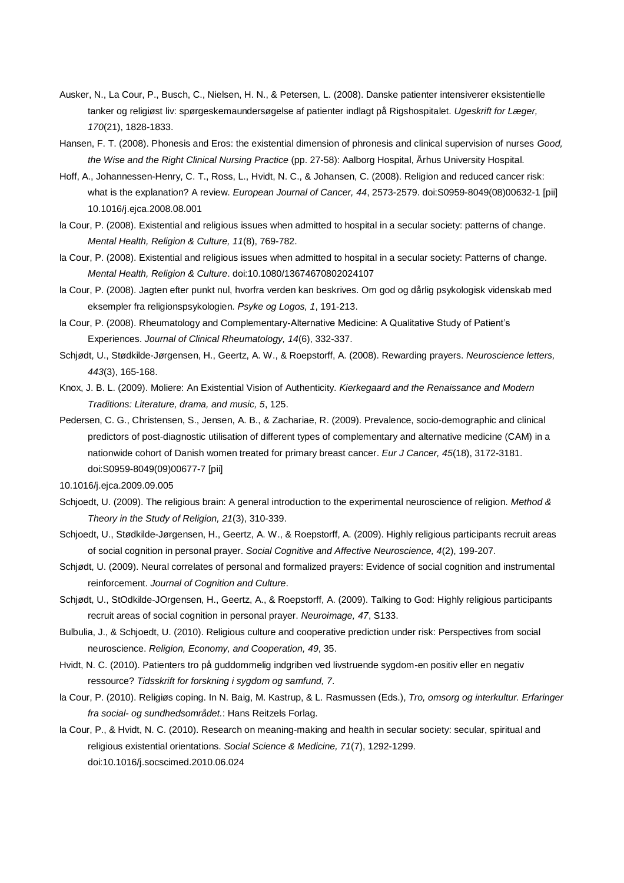- Ausker, N., La Cour, P., Busch, C., Nielsen, H. N., & Petersen, L. (2008). Danske patienter intensiverer eksistentielle tanker og religiøst liv: spørgeskemaundersøgelse af patienter indlagt på Rigshospitalet. *Ugeskrift for Læger, 170*(21), 1828-1833.
- Hansen, F. T. (2008). Phonesis and Eros: the existential dimension of phronesis and clinical supervision of nurses *Good, the Wise and the Right Clinical Nursing Practice* (pp. 27-58): Aalborg Hospital, Århus University Hospital.
- Hoff, A., Johannessen-Henry, C. T., Ross, L., Hvidt, N. C., & Johansen, C. (2008). Religion and reduced cancer risk: what is the explanation? A review. *European Journal of Cancer, 44*, 2573-2579. doi:S0959-8049(08)00632-1 [pii] 10.1016/j.ejca.2008.08.001
- la Cour, P. (2008). Existential and religious issues when admitted to hospital in a secular society: patterns of change. *Mental Health, Religion & Culture, 11*(8), 769-782.
- la Cour, P. (2008). Existential and religious issues when admitted to hospital in a secular society: Patterns of change. *Mental Health, Religion & Culture*. doi:10.1080/13674670802024107
- la Cour, P. (2008). Jagten efter punkt nul, hvorfra verden kan beskrives. Om god og dårlig psykologisk videnskab med eksempler fra religionspsykologien. *Psyke og Logos, 1*, 191-213.
- la Cour, P. (2008). Rheumatology and Complementary-Alternative Medicine: A Qualitative Study of Patient's Experiences. *Journal of Clinical Rheumatology, 14*(6), 332-337.
- Schjødt, U., Stødkilde-Jørgensen, H., Geertz, A. W., & Roepstorff, A. (2008). Rewarding prayers. *Neuroscience letters, 443*(3), 165-168.
- Knox, J. B. L. (2009). Moliere: An Existential Vision of Authenticity. *Kierkegaard and the Renaissance and Modern Traditions: Literature, drama, and music, 5*, 125.
- Pedersen, C. G., Christensen, S., Jensen, A. B., & Zachariae, R. (2009). Prevalence, socio-demographic and clinical predictors of post-diagnostic utilisation of different types of complementary and alternative medicine (CAM) in a nationwide cohort of Danish women treated for primary breast cancer. *Eur J Cancer, 45*(18), 3172-3181. doi:S0959-8049(09)00677-7 [pii]

- Schjoedt, U. (2009). The religious brain: A general introduction to the experimental neuroscience of religion. *Method & Theory in the Study of Religion, 21*(3), 310-339.
- Schjoedt, U., Stødkilde-Jørgensen, H., Geertz, A. W., & Roepstorff, A. (2009). Highly religious participants recruit areas of social cognition in personal prayer. *Social Cognitive and Affective Neuroscience, 4*(2), 199-207.
- Schjødt, U. (2009). Neural correlates of personal and formalized prayers: Evidence of social cognition and instrumental reinforcement. *Journal of Cognition and Culture*.
- Schjødt, U., StOdkilde-JOrgensen, H., Geertz, A., & Roepstorff, A. (2009). Talking to God: Highly religious participants recruit areas of social cognition in personal prayer. *Neuroimage, 47*, S133.
- Bulbulia, J., & Schjoedt, U. (2010). Religious culture and cooperative prediction under risk: Perspectives from social neuroscience. *Religion, Economy, and Cooperation, 49*, 35.
- Hvidt, N. C. (2010). Patienters tro på guddommelig indgriben ved livstruende sygdom-en positiv eller en negativ ressource? *Tidsskrift for forskning i sygdom og samfund, 7*.
- la Cour, P. (2010). Religiøs coping. In N. Baig, M. Kastrup, & L. Rasmussen (Eds.), *Tro, omsorg og interkultur. Erfaringer fra social- og sundhedsområdet.*: Hans Reitzels Forlag.
- la Cour, P., & Hvidt, N. C. (2010). Research on meaning-making and health in secular society: secular, spiritual and religious existential orientations. *Social Science & Medicine, 71*(7), 1292-1299. doi:10.1016/j.socscimed.2010.06.024

<sup>10.1016/</sup>j.ejca.2009.09.005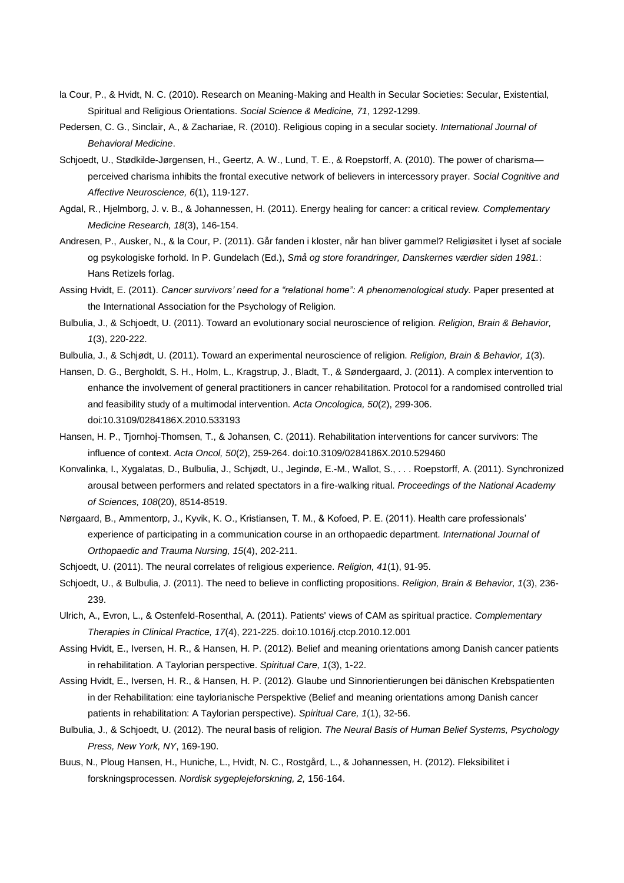- la Cour, P., & Hvidt, N. C. (2010). Research on Meaning-Making and Health in Secular Societies: Secular, Existential, Spiritual and Religious Orientations. *Social Science & Medicine, 71*, 1292-1299.
- Pedersen, C. G., Sinclair, A., & Zachariae, R. (2010). Religious coping in a secular society. *International Journal of Behavioral Medicine*.
- Schjoedt, U., Stødkilde-Jørgensen, H., Geertz, A. W., Lund, T. E., & Roepstorff, A. (2010). The power of charisma perceived charisma inhibits the frontal executive network of believers in intercessory prayer. *Social Cognitive and Affective Neuroscience, 6*(1), 119-127.
- Agdal, R., Hjelmborg, J. v. B., & Johannessen, H. (2011). Energy healing for cancer: a critical review. *Complementary Medicine Research, 18*(3), 146-154.
- Andresen, P., Ausker, N., & la Cour, P. (2011). Går fanden i kloster, når han bliver gammel? Religiøsitet i lyset af sociale og psykologiske forhold. In P. Gundelach (Ed.), *Små og store forandringer, Danskernes værdier siden 1981.*: Hans Retizels forlag.
- Assing Hvidt, E. (2011). *Cancer survivors' need for a "relational home": A phenomenological study.* Paper presented at the International Association for the Psychology of Religion.
- Bulbulia, J., & Schjoedt, U. (2011). Toward an evolutionary social neuroscience of religion. *Religion, Brain & Behavior, 1*(3), 220-222.
- Bulbulia, J., & Schjødt, U. (2011). Toward an experimental neuroscience of religion. *Religion, Brain & Behavior, 1*(3).
- Hansen, D. G., Bergholdt, S. H., Holm, L., Kragstrup, J., Bladt, T., & Søndergaard, J. (2011). A complex intervention to enhance the involvement of general practitioners in cancer rehabilitation. Protocol for a randomised controlled trial and feasibility study of a multimodal intervention. *Acta Oncologica, 50*(2), 299-306. doi:10.3109/0284186X.2010.533193
- Hansen, H. P., Tjornhoj-Thomsen, T., & Johansen, C. (2011). Rehabilitation interventions for cancer survivors: The influence of context. *Acta Oncol, 50*(2), 259-264. doi:10.3109/0284186X.2010.529460
- Konvalinka, I., Xygalatas, D., Bulbulia, J., Schjødt, U., Jegindø, E.-M., Wallot, S., . . . Roepstorff, A. (2011). Synchronized arousal between performers and related spectators in a fire-walking ritual. *Proceedings of the National Academy of Sciences, 108*(20), 8514-8519.
- Nørgaard, B., Ammentorp, J., Kyvik, K. O., Kristiansen, T. M., & Kofoed, P. E. (2011). Health care professionals' experience of participating in a communication course in an orthopaedic department. *International Journal of Orthopaedic and Trauma Nursing, 15*(4), 202-211.
- Schjoedt, U. (2011). The neural correlates of religious experience. *Religion, 41*(1), 91-95.
- Schjoedt, U., & Bulbulia, J. (2011). The need to believe in conflicting propositions. *Religion, Brain & Behavior, 1*(3), 236- 239.
- Ulrich, A., Evron, L., & Ostenfeld-Rosenthal, A. (2011). Patients' views of CAM as spiritual practice. *Complementary Therapies in Clinical Practice, 17*(4), 221-225. doi:10.1016/j.ctcp.2010.12.001
- Assing Hvidt, E., Iversen, H. R., & Hansen, H. P. (2012). Belief and meaning orientations among Danish cancer patients in rehabilitation. A Taylorian perspective. *Spiritual Care, 1*(3), 1-22.
- Assing Hvidt, E., Iversen, H. R., & Hansen, H. P. (2012). Glaube und Sinnorientierungen bei dänischen Krebspatienten in der Rehabilitation: eine taylorianische Perspektive (Belief and meaning orientations among Danish cancer patients in rehabilitation: A Taylorian perspective). *Spiritual Care, 1*(1), 32-56.
- Bulbulia, J., & Schjoedt, U. (2012). The neural basis of religion. *The Neural Basis of Human Belief Systems, Psychology Press, New York, NY*, 169-190.
- Buus, N., Ploug Hansen, H., Huniche, L., Hvidt, N. C., Rostgård, L., & Johannessen, H. (2012). Fleksibilitet i forskningsprocessen. *Nordisk sygeplejeforskning, 2,* 156-164.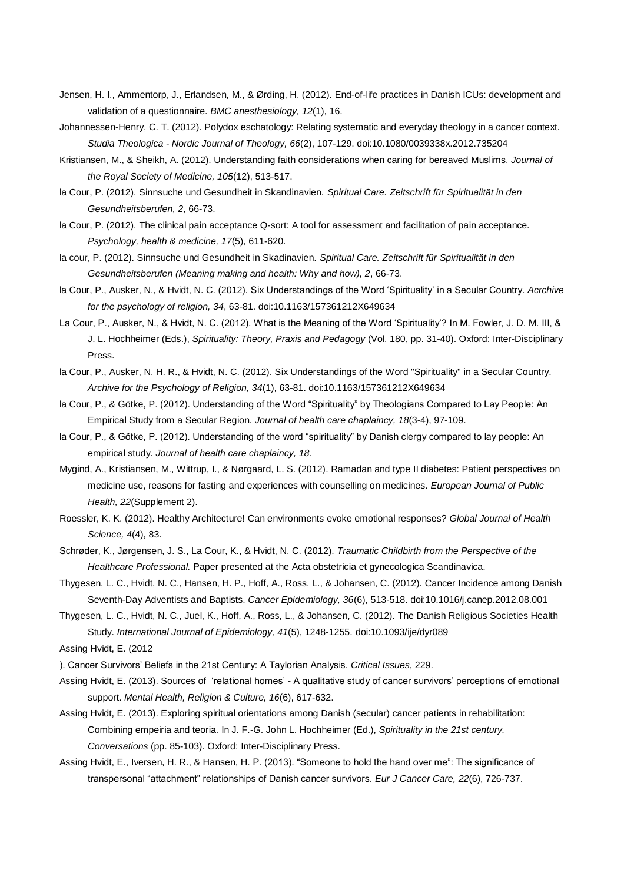- Jensen, H. I., Ammentorp, J., Erlandsen, M., & Ørding, H. (2012). End-of-life practices in Danish ICUs: development and validation of a questionnaire. *BMC anesthesiology, 12*(1), 16.
- Johannessen-Henry, C. T. (2012). Polydox eschatology: Relating systematic and everyday theology in a cancer context. *Studia Theologica - Nordic Journal of Theology, 66*(2), 107-129. doi:10.1080/0039338x.2012.735204
- Kristiansen, M., & Sheikh, A. (2012). Understanding faith considerations when caring for bereaved Muslims. *Journal of the Royal Society of Medicine, 105*(12), 513-517.
- la Cour, P. (2012). Sinnsuche und Gesundheit in Skandinavien. *Spiritual Care. Zeitschrift für Spiritualität in den Gesundheitsberufen, 2*, 66-73.
- la Cour, P. (2012). The clinical pain acceptance Q-sort: A tool for assessment and facilitation of pain acceptance. *Psychology, health & medicine, 17*(5), 611-620.
- la cour, P. (2012). Sinnsuche und Gesundheit in Skadinavien. *Spiritual Care. Zeitschrift für Spiritualität in den Gesundheitsberufen (Meaning making and health: Why and how), 2*, 66-73.
- la Cour, P., Ausker, N., & Hvidt, N. C. (2012). Six Understandings of the Word 'Spirituality' in a Secular Country. *Acrchive for the psychology of religion, 34*, 63-81. doi:10.1163/157361212X649634
- La Cour, P., Ausker, N., & Hvidt, N. C. (2012). What is the Meaning of the Word 'Spirituality'? In M. Fowler, J. D. M. III, & J. L. Hochheimer (Eds.), *Spirituality: Theory, Praxis and Pedagogy* (Vol. 180, pp. 31-40). Oxford: Inter-Disciplinary Press.
- la Cour, P., Ausker, N. H. R., & Hvidt, N. C. (2012). Six Understandings of the Word "Spirituality" in a Secular Country. *Archive for the Psychology of Religion, 34*(1), 63-81. doi:10.1163/157361212X649634
- la Cour, P., & Götke, P. (2012). Understanding of the Word "Spirituality" by Theologians Compared to Lay People: An Empirical Study from a Secular Region. *Journal of health care chaplaincy, 18*(3-4), 97-109.
- la Cour, P., & Götke, P. (2012). Understanding of the word "spirituality" by Danish clergy compared to lay people: An empirical study. *Journal of health care chaplaincy, 18*.
- Mygind, A., Kristiansen, M., Wittrup, I., & Nørgaard, L. S. (2012). Ramadan and type II diabetes: Patient perspectives on medicine use, reasons for fasting and experiences with counselling on medicines. *European Journal of Public Health, 22*(Supplement 2).
- Roessler, K. K. (2012). Healthy Architecture! Can environments evoke emotional responses? *Global Journal of Health Science, 4*(4), 83.
- Schrøder, K., Jørgensen, J. S., La Cour, K., & Hvidt, N. C. (2012). *Traumatic Childbirth from the Perspective of the Healthcare Professional.* Paper presented at the Acta obstetricia et gynecologica Scandinavica.
- Thygesen, L. C., Hvidt, N. C., Hansen, H. P., Hoff, A., Ross, L., & Johansen, C. (2012). Cancer Incidence among Danish Seventh-Day Adventists and Baptists. *Cancer Epidemiology, 36*(6), 513-518. doi:10.1016/j.canep.2012.08.001
- Thygesen, L. C., Hvidt, N. C., Juel, K., Hoff, A., Ross, L., & Johansen, C. (2012). The Danish Religious Societies Health Study. *International Journal of Epidemiology, 41*(5), 1248-1255. doi:10.1093/ije/dyr089
- Assing Hvidt, E. (2012
- ). Cancer Survivors' Beliefs in the 21st Century: A Taylorian Analysis. *Critical Issues*, 229.
- Assing Hvidt, E. (2013). Sources of 'relational homes' A qualitative study of cancer survivors' perceptions of emotional support. *Mental Health, Religion & Culture, 16*(6), 617-632.
- Assing Hvidt, E. (2013). Exploring spiritual orientations among Danish (secular) cancer patients in rehabilitation: Combining empeiria and teoria. In J. F.-G. John L. Hochheimer (Ed.), *Spirituality in the 21st century. Conversations* (pp. 85-103). Oxford: Inter-Disciplinary Press.
- Assing Hvidt, E., Iversen, H. R., & Hansen, H. P. (2013). "Someone to hold the hand over me": The significance of transpersonal "attachment" relationships of Danish cancer survivors. *Eur J Cancer Care, 22*(6), 726-737.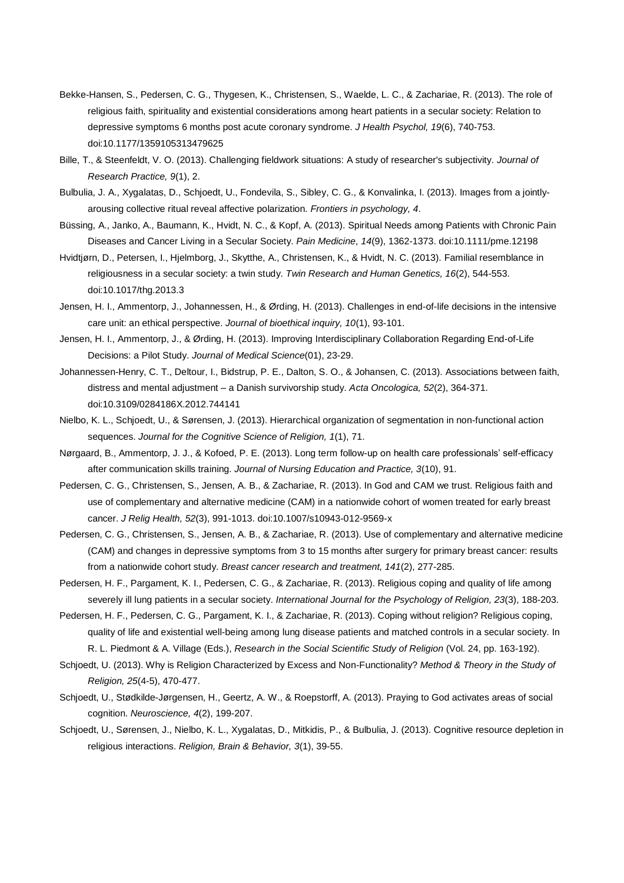- Bekke-Hansen, S., Pedersen, C. G., Thygesen, K., Christensen, S., Waelde, L. C., & Zachariae, R. (2013). The role of religious faith, spirituality and existential considerations among heart patients in a secular society: Relation to depressive symptoms 6 months post acute coronary syndrome. *J Health Psychol, 19*(6), 740-753. doi:10.1177/1359105313479625
- Bille, T., & Steenfeldt, V. O. (2013). Challenging fieldwork situations: A study of researcher's subjectivity. *Journal of Research Practice, 9*(1), 2.
- Bulbulia, J. A., Xygalatas, D., Schjoedt, U., Fondevila, S., Sibley, C. G., & Konvalinka, I. (2013). Images from a jointlyarousing collective ritual reveal affective polarization. *Frontiers in psychology, 4*.
- Büssing, A., Janko, A., Baumann, K., Hvidt, N. C., & Kopf, A. (2013). Spiritual Needs among Patients with Chronic Pain Diseases and Cancer Living in a Secular Society. *Pain Medicine, 14*(9), 1362-1373. doi:10.1111/pme.12198
- Hvidtjørn, D., Petersen, I., Hjelmborg, J., Skytthe, A., Christensen, K., & Hvidt, N. C. (2013). Familial resemblance in religiousness in a secular society: a twin study. *Twin Research and Human Genetics, 16*(2), 544-553. doi:10.1017/thg.2013.3
- Jensen, H. I., Ammentorp, J., Johannessen, H., & Ørding, H. (2013). Challenges in end-of-life decisions in the intensive care unit: an ethical perspective. *Journal of bioethical inquiry, 10*(1), 93-101.
- Jensen, H. I., Ammentorp, J., & Ørding, H. (2013). Improving Interdisciplinary Collaboration Regarding End-of-Life Decisions: a Pilot Study. *Journal of Medical Science*(01), 23-29.
- Johannessen-Henry, C. T., Deltour, I., Bidstrup, P. E., Dalton, S. O., & Johansen, C. (2013). Associations between faith, distress and mental adjustment – a Danish survivorship study. *Acta Oncologica, 52*(2), 364-371. doi:10.3109/0284186X.2012.744141
- Nielbo, K. L., Schjoedt, U., & Sørensen, J. (2013). Hierarchical organization of segmentation in non-functional action sequences. *Journal for the Cognitive Science of Religion, 1*(1), 71.
- Nørgaard, B., Ammentorp, J. J., & Kofoed, P. E. (2013). Long term follow-up on health care professionals' self-efficacy after communication skills training. *Journal of Nursing Education and Practice, 3*(10), 91.
- Pedersen, C. G., Christensen, S., Jensen, A. B., & Zachariae, R. (2013). In God and CAM we trust. Religious faith and use of complementary and alternative medicine (CAM) in a nationwide cohort of women treated for early breast cancer. *J Relig Health, 52*(3), 991-1013. doi:10.1007/s10943-012-9569-x
- Pedersen, C. G., Christensen, S., Jensen, A. B., & Zachariae, R. (2013). Use of complementary and alternative medicine (CAM) and changes in depressive symptoms from 3 to 15 months after surgery for primary breast cancer: results from a nationwide cohort study. *Breast cancer research and treatment, 141*(2), 277-285.
- Pedersen, H. F., Pargament, K. I., Pedersen, C. G., & Zachariae, R. (2013). Religious coping and quality of life among severely ill lung patients in a secular society. *International Journal for the Psychology of Religion, 23*(3), 188-203.
- Pedersen, H. F., Pedersen, C. G., Pargament, K. I., & Zachariae, R. (2013). Coping without religion? Religious coping, quality of life and existential well-being among lung disease patients and matched controls in a secular society. In R. L. Piedmont & A. Village (Eds.), *Research in the Social Scientific Study of Religion* (Vol. 24, pp. 163-192).
- Schjoedt, U. (2013). Why is Religion Characterized by Excess and Non-Functionality? *Method & Theory in the Study of Religion, 25*(4-5), 470-477.
- Schjoedt, U., Stødkilde-Jørgensen, H., Geertz, A. W., & Roepstorff, A. (2013). Praying to God activates areas of social cognition. *Neuroscience, 4*(2), 199-207.
- Schjoedt, U., Sørensen, J., Nielbo, K. L., Xygalatas, D., Mitkidis, P., & Bulbulia, J. (2013). Cognitive resource depletion in religious interactions. *Religion, Brain & Behavior, 3*(1), 39-55.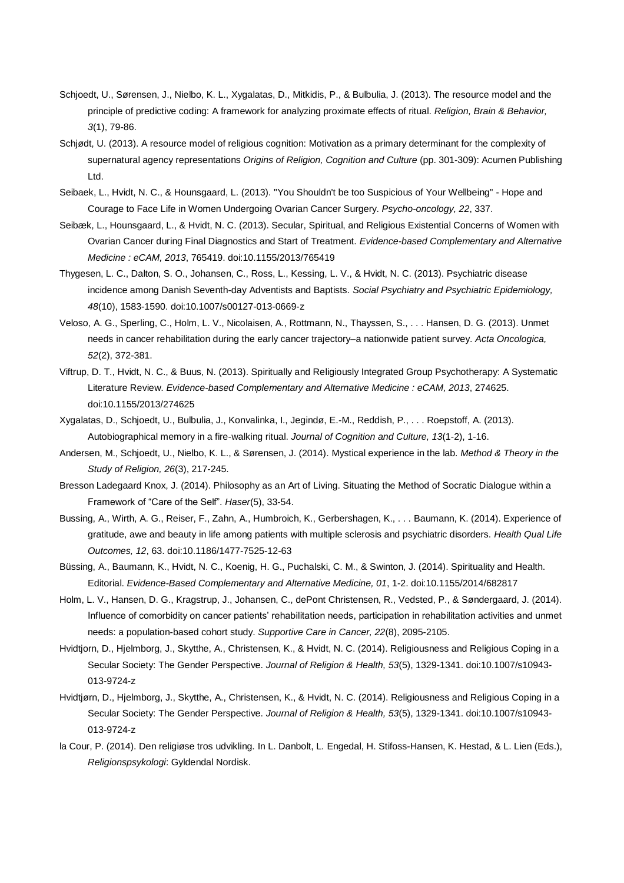- Schjoedt, U., Sørensen, J., Nielbo, K. L., Xygalatas, D., Mitkidis, P., & Bulbulia, J. (2013). The resource model and the principle of predictive coding: A framework for analyzing proximate effects of ritual. *Religion, Brain & Behavior, 3*(1), 79-86.
- Schjødt, U. (2013). A resource model of religious cognition: Motivation as a primary determinant for the complexity of supernatural agency representations *Origins of Religion, Cognition and Culture* (pp. 301-309): Acumen Publishing Ltd.
- Seibaek, L., Hvidt, N. C., & Hounsgaard, L. (2013). "You Shouldn't be too Suspicious of Your Wellbeing" Hope and Courage to Face Life in Women Undergoing Ovarian Cancer Surgery. *Psycho-oncology, 22*, 337.
- Seibæk, L., Hounsgaard, L., & Hvidt, N. C. (2013). Secular, Spiritual, and Religious Existential Concerns of Women with Ovarian Cancer during Final Diagnostics and Start of Treatment. *Evidence-based Complementary and Alternative Medicine : eCAM, 2013*, 765419. doi:10.1155/2013/765419
- Thygesen, L. C., Dalton, S. O., Johansen, C., Ross, L., Kessing, L. V., & Hvidt, N. C. (2013). Psychiatric disease incidence among Danish Seventh-day Adventists and Baptists. *Social Psychiatry and Psychiatric Epidemiology, 48*(10), 1583-1590. doi:10.1007/s00127-013-0669-z
- Veloso, A. G., Sperling, C., Holm, L. V., Nicolaisen, A., Rottmann, N., Thayssen, S., . . . Hansen, D. G. (2013). Unmet needs in cancer rehabilitation during the early cancer trajectory–a nationwide patient survey. *Acta Oncologica, 52*(2), 372-381.
- Viftrup, D. T., Hvidt, N. C., & Buus, N. (2013). Spiritually and Religiously Integrated Group Psychotherapy: A Systematic Literature Review. *Evidence-based Complementary and Alternative Medicine : eCAM, 2013*, 274625. doi:10.1155/2013/274625
- Xygalatas, D., Schjoedt, U., Bulbulia, J., Konvalinka, I., Jegindø, E.-M., Reddish, P., . . . Roepstoff, A. (2013). Autobiographical memory in a fire-walking ritual. *Journal of Cognition and Culture, 13*(1-2), 1-16.
- Andersen, M., Schjoedt, U., Nielbo, K. L., & Sørensen, J. (2014). Mystical experience in the lab. *Method & Theory in the Study of Religion, 26*(3), 217-245.
- Bresson Ladegaard Knox, J. (2014). Philosophy as an Art of Living. Situating the Method of Socratic Dialogue within a Framework of "Care of the Self". *Haser*(5), 33-54.
- Bussing, A., Wirth, A. G., Reiser, F., Zahn, A., Humbroich, K., Gerbershagen, K., . . . Baumann, K. (2014). Experience of gratitude, awe and beauty in life among patients with multiple sclerosis and psychiatric disorders. *Health Qual Life Outcomes, 12*, 63. doi:10.1186/1477-7525-12-63
- Büssing, A., Baumann, K., Hvidt, N. C., Koenig, H. G., Puchalski, C. M., & Swinton, J. (2014). Spirituality and Health. Editorial. *Evidence-Based Complementary and Alternative Medicine, 01*, 1-2. doi:10.1155/2014/682817
- Holm, L. V., Hansen, D. G., Kragstrup, J., Johansen, C., dePont Christensen, R., Vedsted, P., & Søndergaard, J. (2014). Influence of comorbidity on cancer patients' rehabilitation needs, participation in rehabilitation activities and unmet needs: a population-based cohort study. *Supportive Care in Cancer, 22*(8), 2095-2105.
- Hvidtjorn, D., Hjelmborg, J., Skytthe, A., Christensen, K., & Hvidt, N. C. (2014). Religiousness and Religious Coping in a Secular Society: The Gender Perspective. *Journal of Religion & Health, 53*(5), 1329-1341. doi:10.1007/s10943- 013-9724-z
- Hvidtjørn, D., Hjelmborg, J., Skytthe, A., Christensen, K., & Hvidt, N. C. (2014). Religiousness and Religious Coping in a Secular Society: The Gender Perspective. *Journal of Religion & Health, 53*(5), 1329-1341. doi:10.1007/s10943- 013-9724-z
- la Cour, P. (2014). Den religiøse tros udvikling. In L. Danbolt, L. Engedal, H. Stifoss-Hansen, K. Hestad, & L. Lien (Eds.), *Religionspsykologi*: Gyldendal Nordisk.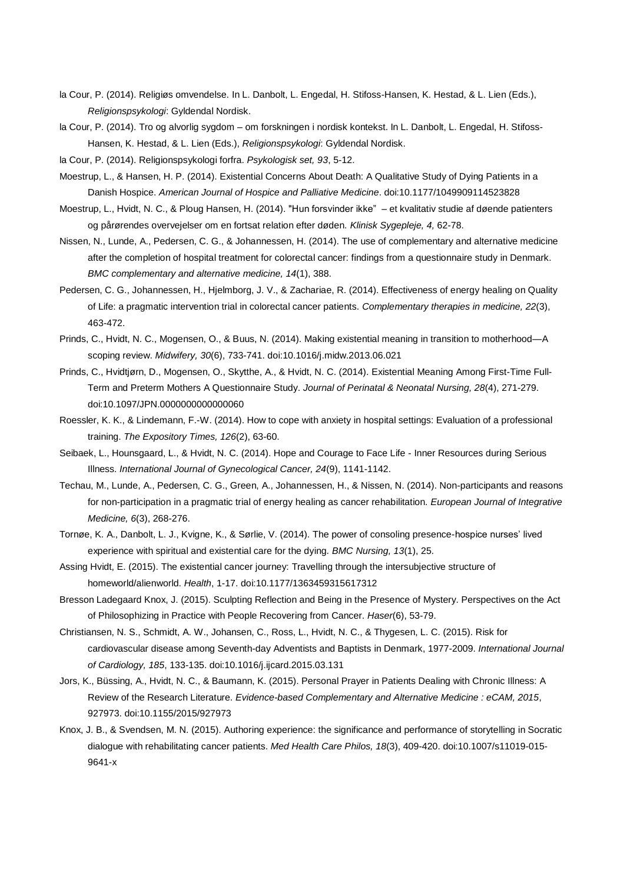- la Cour, P. (2014). Religiøs omvendelse. In L. Danbolt, L. Engedal, H. Stifoss-Hansen, K. Hestad, & L. Lien (Eds.), *Religionspsykologi*: Gyldendal Nordisk.
- la Cour, P. (2014). Tro og alvorlig sygdom om forskningen i nordisk kontekst. In L. Danbolt, L. Engedal, H. Stifoss-Hansen, K. Hestad, & L. Lien (Eds.), *Religionspsykologi*: Gyldendal Nordisk.

la Cour, P. (2014). Religionspsykologi forfra. *Psykologisk set, 93*, 5-12.

- Moestrup, L., & Hansen, H. P. (2014). Existential Concerns About Death: A Qualitative Study of Dying Patients in a Danish Hospice. *American Journal of Hospice and Palliative Medicine*. doi:10.1177/1049909114523828
- Moestrup, L., Hvidt, N. C., & Ploug Hansen, H. (2014). "Hun forsvinder ikke" et kvalitativ studie af døende patienters og pårørendes overvejelser om en fortsat relation efter døden. *Klinisk Sygepleje, 4,* 62-78.
- Nissen, N., Lunde, A., Pedersen, C. G., & Johannessen, H. (2014). The use of complementary and alternative medicine after the completion of hospital treatment for colorectal cancer: findings from a questionnaire study in Denmark. *BMC complementary and alternative medicine, 14*(1), 388.
- Pedersen, C. G., Johannessen, H., Hjelmborg, J. V., & Zachariae, R. (2014). Effectiveness of energy healing on Quality of Life: a pragmatic intervention trial in colorectal cancer patients. *Complementary therapies in medicine, 22*(3), 463-472.
- Prinds, C., Hvidt, N. C., Mogensen, O., & Buus, N. (2014). Making existential meaning in transition to motherhood—A scoping review. *Midwifery, 30*(6), 733-741. doi:10.1016/j.midw.2013.06.021
- Prinds, C., Hvidtjørn, D., Mogensen, O., Skytthe, A., & Hvidt, N. C. (2014). Existential Meaning Among First-Time Full-Term and Preterm Mothers A Questionnaire Study. *Journal of Perinatal & Neonatal Nursing, 28*(4), 271-279. doi:10.1097/JPN.0000000000000060
- Roessler, K. K., & Lindemann, F.-W. (2014). How to cope with anxiety in hospital settings: Evaluation of a professional training. *The Expository Times, 126*(2), 63-60.
- Seibaek, L., Hounsgaard, L., & Hvidt, N. C. (2014). Hope and Courage to Face Life Inner Resources during Serious Illness. *International Journal of Gynecological Cancer, 24*(9), 1141-1142.
- Techau, M., Lunde, A., Pedersen, C. G., Green, A., Johannessen, H., & Nissen, N. (2014). Non-participants and reasons for non-participation in a pragmatic trial of energy healing as cancer rehabilitation. *European Journal of Integrative Medicine, 6*(3), 268-276.
- Tornøe, K. A., Danbolt, L. J., Kvigne, K., & Sørlie, V. (2014). The power of consoling presence-hospice nurses' lived experience with spiritual and existential care for the dying. *BMC Nursing, 13*(1), 25.
- Assing Hvidt, E. (2015). The existential cancer journey: Travelling through the intersubjective structure of homeworld/alienworld. *Health*, 1-17. doi:10.1177/1363459315617312
- Bresson Ladegaard Knox, J. (2015). Sculpting Reflection and Being in the Presence of Mystery. Perspectives on the Act of Philosophizing in Practice with People Recovering from Cancer. *Haser*(6), 53-79.
- Christiansen, N. S., Schmidt, A. W., Johansen, C., Ross, L., Hvidt, N. C., & Thygesen, L. C. (2015). Risk for cardiovascular disease among Seventh-day Adventists and Baptists in Denmark, 1977-2009. *International Journal of Cardiology, 185*, 133-135. doi:10.1016/j.ijcard.2015.03.131
- Jors, K., Büssing, A., Hvidt, N. C., & Baumann, K. (2015). Personal Prayer in Patients Dealing with Chronic Illness: A Review of the Research Literature. *Evidence-based Complementary and Alternative Medicine : eCAM, 2015*, 927973. doi:10.1155/2015/927973
- Knox, J. B., & Svendsen, M. N. (2015). Authoring experience: the significance and performance of storytelling in Socratic dialogue with rehabilitating cancer patients. *Med Health Care Philos, 18*(3), 409-420. doi:10.1007/s11019-015- 9641-x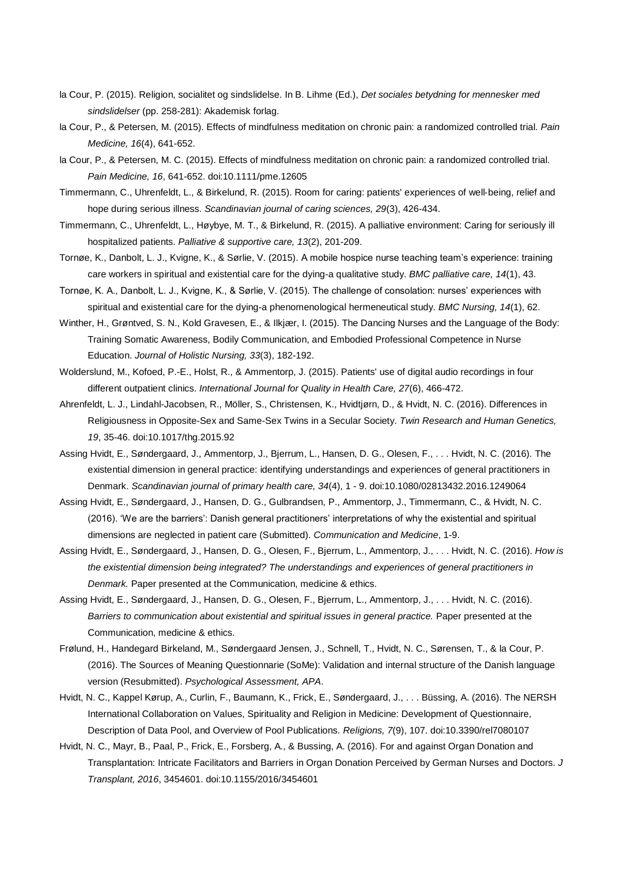- la Cour, P. (2015). Religion, socialitet og sindslidelse. In B. Lihme (Ed.), *Det sociales betydning for mennesker med sindslidelser* (pp. 258-281): Akademisk forlag.
- la Cour, P., & Petersen, M. (2015). Effects of mindfulness meditation on chronic pain: a randomized controlled trial. *Pain Medicine, 16*(4), 641-652.
- la Cour, P., & Petersen, M. C. (2015). Effects of mindfulness meditation on chronic pain: a randomized controlled trial. *Pain Medicine, 16*, 641-652. doi:10.1111/pme.12605
- Timmermann, C., Uhrenfeldt, L., & Birkelund, R. (2015). Room for caring: patients' experiences of well‐being, relief and hope during serious illness. *Scandinavian journal of caring sciences, 29*(3), 426-434.
- Timmermann, C., Uhrenfeldt, L., Høybye, M. T., & Birkelund, R. (2015). A palliative environment: Caring for seriously ill hospitalized patients. *Palliative & supportive care, 13*(2), 201-209.
- Tornøe, K., Danbolt, L. J., Kvigne, K., & Sørlie, V. (2015). A mobile hospice nurse teaching team's experience: training care workers in spiritual and existential care for the dying-a qualitative study. *BMC palliative care, 14*(1), 43.
- Tornøe, K. A., Danbolt, L. J., Kvigne, K., & Sørlie, V. (2015). The challenge of consolation: nurses' experiences with spiritual and existential care for the dying-a phenomenological hermeneutical study. *BMC Nursing, 14*(1), 62.
- Winther, H., Grøntved, S. N., Kold Gravesen, E., & Ilkjær, I. (2015). The Dancing Nurses and the Language of the Body: Training Somatic Awareness, Bodily Communication, and Embodied Professional Competence in Nurse Education. *Journal of Holistic Nursing, 33*(3), 182-192.
- Wolderslund, M., Kofoed, P.-E., Holst, R., & Ammentorp, J. (2015). Patients' use of digital audio recordings in four different outpatient clinics. *International Journal for Quality in Health Care, 27*(6), 466-472.
- Ahrenfeldt, L. J., Lindahl-Jacobsen, R., Möller, S., Christensen, K., Hvidtjørn, D., & Hvidt, N. C. (2016). Differences in Religiousness in Opposite-Sex and Same-Sex Twins in a Secular Society. *Twin Research and Human Genetics, 19*, 35-46. doi:10.1017/thg.2015.92
- Assing Hvidt, E., Søndergaard, J., Ammentorp, J., Bjerrum, L., Hansen, D. G., Olesen, F., . . . Hvidt, N. C. (2016). The existential dimension in general practice: identifying understandings and experiences of general practitioners in Denmark. *Scandinavian journal of primary health care, 34*(4), 1 - 9. doi:10.1080/02813432.2016.1249064
- Assing Hvidt, E., Søndergaard, J., Hansen, D. G., Gulbrandsen, P., Ammentorp, J., Timmermann, C., & Hvidt, N. C. (2016). 'We are the barriers': Danish general practitioners' interpretations of why the existential and spiritual dimensions are neglected in patient care (Submitted). *Communication and Medicine*, 1-9.
- Assing Hvidt, E., Søndergaard, J., Hansen, D. G., Olesen, F., Bjerrum, L., Ammentorp, J., . . . Hvidt, N. C. (2016). *How is the existential dimension being integrated? The understandings and experiences of general practitioners in Denmark.* Paper presented at the Communication, medicine & ethics.
- Assing Hvidt, E., Søndergaard, J., Hansen, D. G., Olesen, F., Bjerrum, L., Ammentorp, J., . . . Hvidt, N. C. (2016). *Barriers to communication about existential and spiritual issues in general practice.* Paper presented at the Communication, medicine & ethics.
- Frølund, H., Handegard Birkeland, M., Søndergaard Jensen, J., Schnell, T., Hvidt, N. C., Sørensen, T., & la Cour, P. (2016). The Sources of Meaning Questionnarie (SoMe): Validation and internal structure of the Danish language version (Resubmitted). *Psychological Assessment, APA*.
- Hvidt, N. C., Kappel Kørup, A., Curlin, F., Baumann, K., Frick, E., Søndergaard, J., . . . Büssing, A. (2016). The NERSH International Collaboration on Values, Spirituality and Religion in Medicine: Development of Questionnaire, Description of Data Pool, and Overview of Pool Publications. *Religions, 7*(9), 107. doi:10.3390/rel7080107
- Hvidt, N. C., Mayr, B., Paal, P., Frick, E., Forsberg, A., & Bussing, A. (2016). For and against Organ Donation and Transplantation: Intricate Facilitators and Barriers in Organ Donation Perceived by German Nurses and Doctors. *J Transplant, 2016*, 3454601. doi:10.1155/2016/3454601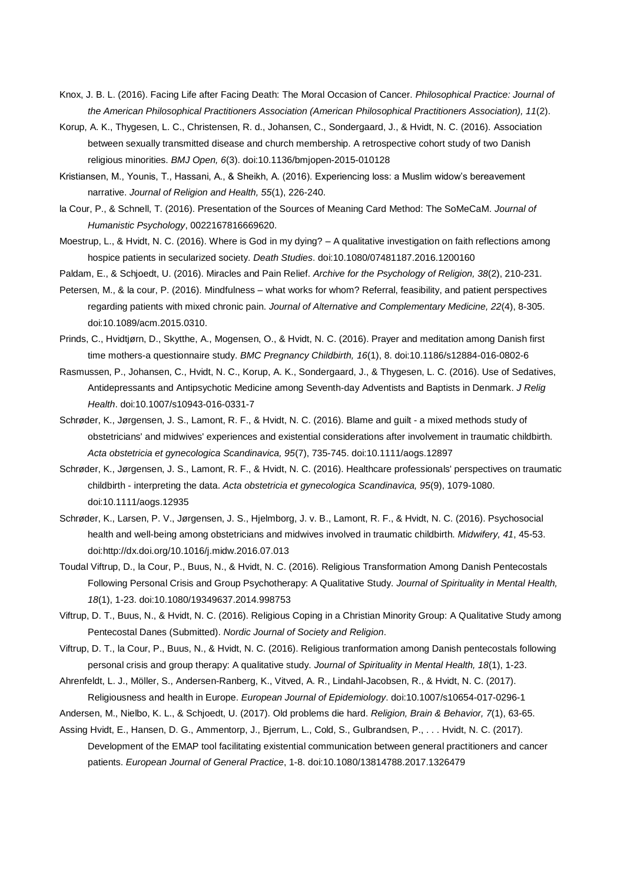- Knox, J. B. L. (2016). Facing Life after Facing Death: The Moral Occasion of Cancer. *Philosophical Practice: Journal of the American Philosophical Practitioners Association (American Philosophical Practitioners Association), 11*(2).
- Korup, A. K., Thygesen, L. C., Christensen, R. d., Johansen, C., Sondergaard, J., & Hvidt, N. C. (2016). Association between sexually transmitted disease and church membership. A retrospective cohort study of two Danish religious minorities. *BMJ Open, 6*(3). doi:10.1136/bmjopen-2015-010128
- Kristiansen, M., Younis, T., Hassani, A., & Sheikh, A. (2016). Experiencing loss: a Muslim widow's bereavement narrative. *Journal of Religion and Health, 55*(1), 226-240.
- la Cour, P., & Schnell, T. (2016). Presentation of the Sources of Meaning Card Method: The SoMeCaM. *Journal of Humanistic Psychology*, 0022167816669620.
- Moestrup, L., & Hvidt, N. C. (2016). Where is God in my dying? A qualitative investigation on faith reflections among hospice patients in secularized society. *Death Studies*. doi:10.1080/07481187.2016.1200160
- Paldam, E., & Schjoedt, U. (2016). Miracles and Pain Relief. *Archive for the Psychology of Religion, 38*(2), 210-231.
- Petersen, M., & la cour, P. (2016). Mindfulness what works for whom? Referral, feasibility, and patient perspectives regarding patients with mixed chronic pain. *Journal of Alternative and Complementary Medicine, 22*(4), 8-305. doi:10.1089/acm.2015.0310.
- Prinds, C., Hvidtjørn, D., Skytthe, A., Mogensen, O., & Hvidt, N. C. (2016). Prayer and meditation among Danish first time mothers-a questionnaire study. *BMC Pregnancy Childbirth, 16*(1), 8. doi:10.1186/s12884-016-0802-6
- Rasmussen, P., Johansen, C., Hvidt, N. C., Korup, A. K., Sondergaard, J., & Thygesen, L. C. (2016). Use of Sedatives, Antidepressants and Antipsychotic Medicine among Seventh-day Adventists and Baptists in Denmark. *J Relig Health*. doi:10.1007/s10943-016-0331-7
- Schrøder, K., Jørgensen, J. S., Lamont, R. F., & Hvidt, N. C. (2016). Blame and guilt a mixed methods study of obstetricians' and midwives' experiences and existential considerations after involvement in traumatic childbirth. *Acta obstetricia et gynecologica Scandinavica, 95*(7), 735-745. doi:10.1111/aogs.12897
- Schrøder, K., Jørgensen, J. S., Lamont, R. F., & Hvidt, N. C. (2016). Healthcare professionals' perspectives on traumatic childbirth - interpreting the data. *Acta obstetricia et gynecologica Scandinavica, 95*(9), 1079-1080. doi:10.1111/aogs.12935
- Schrøder, K., Larsen, P. V., Jørgensen, J. S., Hjelmborg, J. v. B., Lamont, R. F., & Hvidt, N. C. (2016). Psychosocial health and well-being among obstetricians and midwives involved in traumatic childbirth. *Midwifery, 41*, 45-53. doi:http://dx.doi.org/10.1016/j.midw.2016.07.013
- Toudal Viftrup, D., la Cour, P., Buus, N., & Hvidt, N. C. (2016). Religious Transformation Among Danish Pentecostals Following Personal Crisis and Group Psychotherapy: A Qualitative Study. *Journal of Spirituality in Mental Health, 18*(1), 1-23. doi:10.1080/19349637.2014.998753
- Viftrup, D. T., Buus, N., & Hvidt, N. C. (2016). Religious Coping in a Christian Minority Group: A Qualitative Study among Pentecostal Danes (Submitted). *Nordic Journal of Society and Religion*.
- Viftrup, D. T., la Cour, P., Buus, N., & Hvidt, N. C. (2016). Religious tranformation among Danish pentecostals following personal crisis and group therapy: A qualitative study. *Journal of Spirituality in Mental Health, 18*(1), 1-23.
- Ahrenfeldt, L. J., Möller, S., Andersen-Ranberg, K., Vitved, A. R., Lindahl-Jacobsen, R., & Hvidt, N. C. (2017). Religiousness and health in Europe. *European Journal of Epidemiology*. doi:10.1007/s10654-017-0296-1
- Andersen, M., Nielbo, K. L., & Schjoedt, U. (2017). Old problems die hard. *Religion, Brain & Behavior, 7*(1), 63-65.
- Assing Hvidt, E., Hansen, D. G., Ammentorp, J., Bjerrum, L., Cold, S., Gulbrandsen, P., . . . Hvidt, N. C. (2017). Development of the EMAP tool facilitating existential communication between general practitioners and cancer patients. *European Journal of General Practice*, 1-8. doi:10.1080/13814788.2017.1326479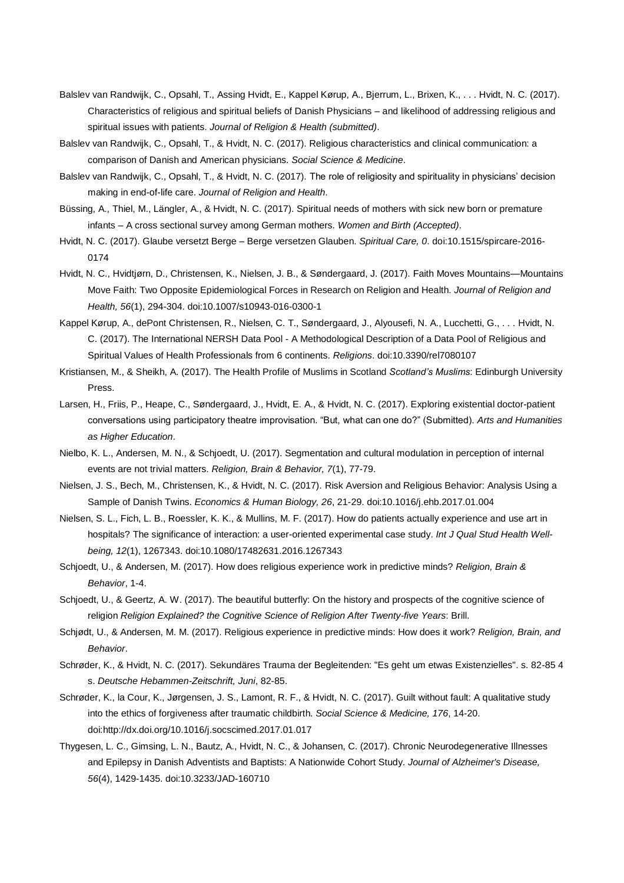- Balslev van Randwijk, C., Opsahl, T., Assing Hvidt, E., Kappel Kørup, A., Bjerrum, L., Brixen, K., . . . Hvidt, N. C. (2017). Characteristics of religious and spiritual beliefs of Danish Physicians – and likelihood of addressing religious and spiritual issues with patients. *Journal of Religion & Health (submitted)*.
- Balslev van Randwijk, C., Opsahl, T., & Hvidt, N. C. (2017). Religious characteristics and clinical communication: a comparison of Danish and American physicians. *Social Science & Medicine*.
- Balslev van Randwijk, C., Opsahl, T., & Hvidt, N. C. (2017). The role of religiosity and spirituality in physicians' decision making in end-of-life care. *Journal of Religion and Health*.
- Büssing, A., Thiel, M., Längler, A., & Hvidt, N. C. (2017). Spiritual needs of mothers with sick new born or premature infants – A cross sectional survey among German mothers. *Women and Birth (Accepted)*.
- Hvidt, N. C. (2017). Glaube versetzt Berge Berge versetzen Glauben. *Spiritual Care, 0*. doi:10.1515/spircare-2016- 0174
- Hvidt, N. C., Hvidtjørn, D., Christensen, K., Nielsen, J. B., & Søndergaard, J. (2017). Faith Moves Mountains—Mountains Move Faith: Two Opposite Epidemiological Forces in Research on Religion and Health. *Journal of Religion and Health, 56*(1), 294-304. doi:10.1007/s10943-016-0300-1
- Kappel Kørup, A., dePont Christensen, R., Nielsen, C. T., Søndergaard, J., Alyousefi, N. A., Lucchetti, G., . . . Hvidt, N. C. (2017). The International NERSH Data Pool - A Methodological Description of a Data Pool of Religious and Spiritual Values of Health Professionals from 6 continents. *Religions*. doi:10.3390/rel7080107
- Kristiansen, M., & Sheikh, A. (2017). The Health Profile of Muslims in Scotland *Scotland's Muslims*: Edinburgh University Press.
- Larsen, H., Friis, P., Heape, C., Søndergaard, J., Hvidt, E. A., & Hvidt, N. C. (2017). Exploring existential doctor-patient conversations using participatory theatre improvisation. "But, what can one do?" (Submitted). *Arts and Humanities as Higher Education*.
- Nielbo, K. L., Andersen, M. N., & Schjoedt, U. (2017). Segmentation and cultural modulation in perception of internal events are not trivial matters. *Religion, Brain & Behavior, 7*(1), 77-79.
- Nielsen, J. S., Bech, M., Christensen, K., & Hvidt, N. C. (2017). Risk Aversion and Religious Behavior: Analysis Using a Sample of Danish Twins. *Economics & Human Biology, 26*, 21-29. doi:10.1016/j.ehb.2017.01.004
- Nielsen, S. L., Fich, L. B., Roessler, K. K., & Mullins, M. F. (2017). How do patients actually experience and use art in hospitals? The significance of interaction: a user-oriented experimental case study. *Int J Qual Stud Health Wellbeing, 12*(1), 1267343. doi:10.1080/17482631.2016.1267343
- Schjoedt, U., & Andersen, M. (2017). How does religious experience work in predictive minds? *Religion, Brain & Behavior*, 1-4.
- Schjoedt, U., & Geertz, A. W. (2017). The beautiful butterfly: On the history and prospects of the cognitive science of religion *Religion Explained? the Cognitive Science of Religion After Twenty-five Years*: Brill.
- Schjødt, U., & Andersen, M. M. (2017). Religious experience in predictive minds: How does it work? *Religion, Brain, and Behavior*.
- Schrøder, K., & Hvidt, N. C. (2017). Sekundäres Trauma der Begleitenden: "Es geht um etwas Existenzielles". s. 82-85 4 s. *Deutsche Hebammen-Zeitschrift, Juni*, 82-85.
- Schrøder, K., la Cour, K., Jørgensen, J. S., Lamont, R. F., & Hvidt, N. C. (2017). Guilt without fault: A qualitative study into the ethics of forgiveness after traumatic childbirth. *Social Science & Medicine, 176*, 14-20. doi:http://dx.doi.org/10.1016/j.socscimed.2017.01.017
- Thygesen, L. C., Gimsing, L. N., Bautz, A., Hvidt, N. C., & Johansen, C. (2017). Chronic Neurodegenerative Illnesses and Epilepsy in Danish Adventists and Baptists: A Nationwide Cohort Study. *Journal of Alzheimer's Disease, 56*(4), 1429-1435. doi:10.3233/JAD-160710